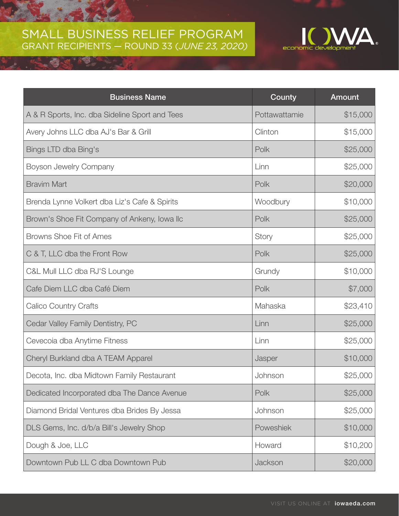## SMALL BUSINESS RELIEF PROGRAM GRANT RECIPIENTS — ROUND 33 (*JUNE 23, 2020)*



| <b>Business Name</b>                           | County        | Amount   |
|------------------------------------------------|---------------|----------|
| A & R Sports, Inc. dba Sideline Sport and Tees | Pottawattamie | \$15,000 |
| Avery Johns LLC dba AJ's Bar & Grill           | Clinton       | \$15,000 |
| Bings LTD dba Bing's                           | Polk          | \$25,000 |
| Boyson Jewelry Company                         | Linn          | \$25,000 |
| <b>Bravim Mart</b>                             | Polk          | \$20,000 |
| Brenda Lynne Volkert dba Liz's Cafe & Spirits  | Woodbury      | \$10,000 |
| Brown's Shoe Fit Company of Ankeny, Iowa IIc   | Polk          | \$25,000 |
| Browns Shoe Fit of Ames                        | Story         | \$25,000 |
| C & T, LLC dba the Front Row                   | Polk          | \$25,000 |
| C&L Mull LLC dba RJ'S Lounge                   | Grundy        | \$10,000 |
| Cafe Diem LLC dba Café Diem                    | Polk          | \$7,000  |
| <b>Calico Country Crafts</b>                   | Mahaska       | \$23,410 |
| Cedar Valley Family Dentistry, PC              | Linn          | \$25,000 |
| Cevecoia dba Anytime Fitness                   | Linn          | \$25,000 |
| Cheryl Burkland dba A TEAM Apparel             | Jasper        | \$10,000 |
| Decota, Inc. dba Midtown Family Restaurant     | Johnson       | \$25,000 |
| Dedicated Incorporated dba The Dance Avenue    | Polk          | \$25,000 |
| Diamond Bridal Ventures dba Brides By Jessa    | Johnson       | \$25,000 |
| DLS Gems, Inc. d/b/a Bill's Jewelry Shop       | Poweshiek     | \$10,000 |
| Dough & Joe, LLC                               | Howard        | \$10,200 |
| Downtown Pub LL C dba Downtown Pub             | Jackson       | \$20,000 |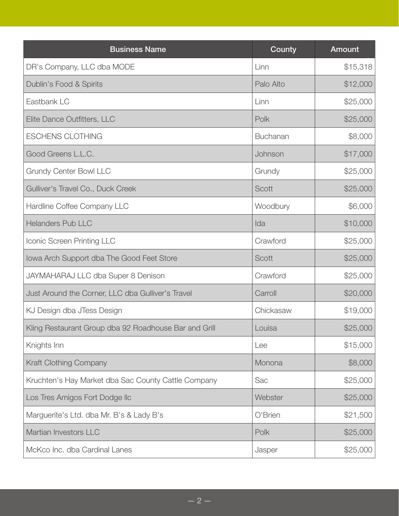| <b>Business Name</b>                                  | County          | <b>Amount</b> |
|-------------------------------------------------------|-----------------|---------------|
| DR's Company, LLC dba MODE                            | Linn            | \$15,318      |
| Dublin's Food & Spirits                               | Palo Alto       | \$12,000      |
| Eastbank LC                                           | Linn            | \$25,000      |
| Elite Dance Outfitters, LLC                           | Polk            | \$25,000      |
| <b>ESCHENS CLOTHING</b>                               | <b>Buchanan</b> | \$8,000       |
| Good Greens L.L.C.                                    | Johnson         | \$17,000      |
| <b>Grundy Center Bowl LLC</b>                         | Grundy          | \$25,000      |
| Gulliver's Travel Co., Duck Creek                     | Scott           | \$25,000      |
| Hardline Coffee Company LLC                           | Woodbury        | \$6,000       |
| <b>Helanders Pub LLC</b>                              | Ida             | \$10,000      |
| Iconic Screen Printing LLC                            | Crawford        | \$25,000      |
| Iowa Arch Support dba The Good Feet Store             | Scott           | \$25,000      |
| JAYMAHARAJ LLC dba Super 8 Denison                    | Crawford        | \$25,000      |
| Just Around the Corner, LLC dba Gulliver's Travel     | Carroll         | \$20,000      |
| KJ Design dba JTess Design                            | Chickasaw       | \$19,000      |
| Kling Restaurant Group dba 92 Roadhouse Bar and Grill | Louisa          | \$25,000      |
| Knights Inn                                           | Lee             | \$15,000      |
| <b>Kraft Clothing Company</b>                         | Monona          | \$8,000       |
| Kruchten's Hay Market dba Sac County Cattle Company   | Sac             | \$25,000      |
| Los Tres Amigos Fort Dodge IIc                        | Webster         | \$25,000      |
| Marguerite's Ltd. dba Mr. B's & Lady B's              | O'Brien         | \$21,500      |
| Martian Investors LLC                                 | Polk            | \$25,000      |
| McKco Inc. dba Cardinal Lanes                         | Jasper          | \$25,000      |